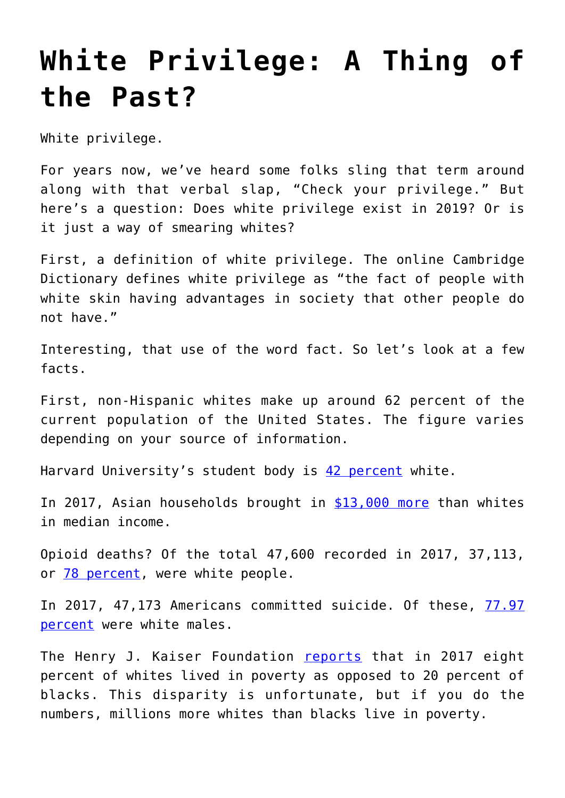## **[White Privilege: A Thing of](https://intellectualtakeout.org/2019/04/white-privilege-a-thing-of-the-past/) [the Past?](https://intellectualtakeout.org/2019/04/white-privilege-a-thing-of-the-past/)**

White privilege.

For years now, we've heard some folks sling that term around along with that verbal slap, "Check your privilege." But here's a question: Does white privilege exist in 2019? Or is it just a way of smearing whites?

First, a definition of white privilege. The online Cambridge Dictionary defines white privilege as "the fact of people with white skin having advantages in society that other people do not have."

Interesting, that use of the word fact. So let's look at a few facts.

First, non-Hispanic whites make up around 62 percent of the current population of the United States. The figure varies depending on your source of information.

Harvard University's student body is [42 percent](https://datausa.io/profile/university/harvard-university/#enrollment) white.

In 2017, Asian households brought in [\\$13,000 more](https://www.pgpf.org/blog/2018/09/income-and-wealth-in-the-united-states-an-overview-of-data) than whites in median income.

Opioid deaths? Of the total 47,600 recorded in 2017, 37,113, or **[78 percent](https://www.kff.org/other/state-indicator/opioid-overdose-deaths-by-raceethnicity/?currentTimeframe=0&sortModel=%7B%22colId%22:%22Location%22,%22sort%22:%22asc%22%7D)**, were white people.

In 2017, 47,173 Americans committed suicide. Of these, [77.97](https://afsp.org/about-suicide/suicide-statistics/) [percent](https://afsp.org/about-suicide/suicide-statistics/) were white males.

The Henry J. Kaiser Foundation [reports](https://www.kff.org/other/state-indicator/poverty-rate-by-raceethnicity/?currentTimeframe=0&sortModel=%7B%22colId%22:%22Location%22,%22sort%22:%22asc%22%7D) that in 2017 eight percent of whites lived in poverty as opposed to 20 percent of blacks. This disparity is unfortunate, but if you do the numbers, millions more whites than blacks live in poverty.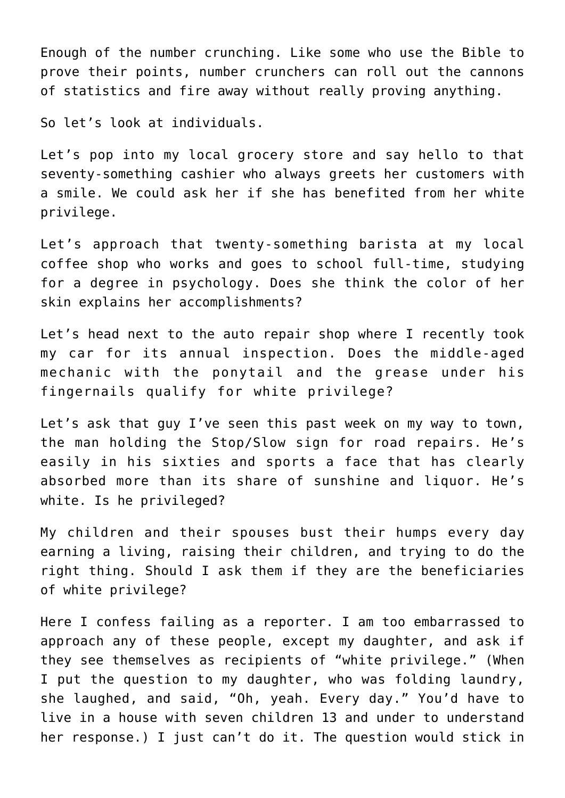Enough of the number crunching. Like some who use the Bible to prove their points, number crunchers can roll out the cannons of statistics and fire away without really proving anything.

So let's look at individuals.

Let's pop into my local grocery store and say hello to that seventy-something cashier who always greets her customers with a smile. We could ask her if she has benefited from her white privilege.

Let's approach that twenty-something barista at my local coffee shop who works and goes to school full-time, studying for a degree in psychology. Does she think the color of her skin explains her accomplishments?

Let's head next to the auto repair shop where I recently took my car for its annual inspection. Does the middle-aged mechanic with the ponytail and the grease under his fingernails qualify for white privilege?

Let's ask that guy I've seen this past week on my way to town, the man holding the Stop/Slow sign for road repairs. He's easily in his sixties and sports a face that has clearly absorbed more than its share of sunshine and liquor. He's white. Is he privileged?

My children and their spouses bust their humps every day earning a living, raising their children, and trying to do the right thing. Should I ask them if they are the beneficiaries of white privilege?

Here I confess failing as a reporter. I am too embarrassed to approach any of these people, except my daughter, and ask if they see themselves as recipients of "white privilege." (When I put the question to my daughter, who was folding laundry, she laughed, and said, "Oh, yeah. Every day." You'd have to live in a house with seven children 13 and under to understand her response.) I just can't do it. The question would stick in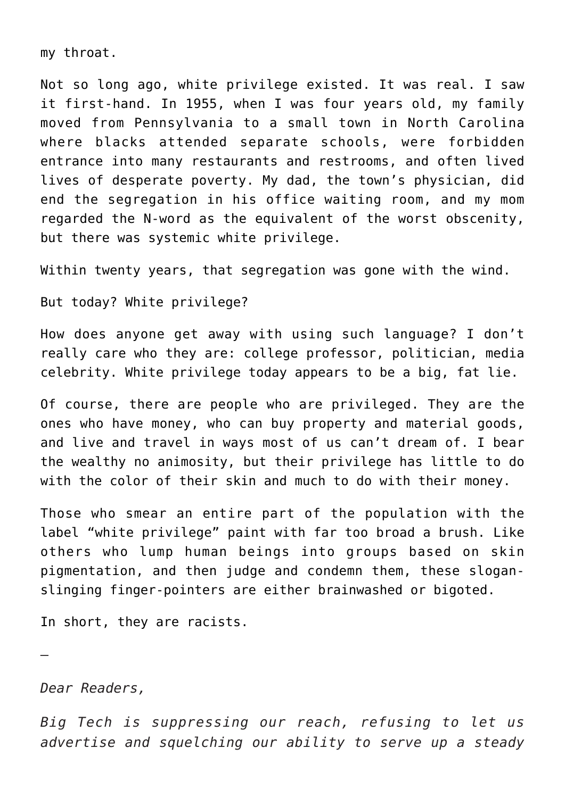my throat.

Not so long ago, white privilege existed. It was real. I saw it first-hand. In 1955, when I was four years old, my family moved from Pennsylvania to a small town in North Carolina where blacks attended separate schools, were forbidden entrance into many restaurants and restrooms, and often lived lives of desperate poverty. My dad, the town's physician, did end the segregation in his office waiting room, and my mom regarded the N-word as the equivalent of the worst obscenity, but there was systemic white privilege.

Within twenty years, that segregation was gone with the wind.

But today? White privilege?

How does anyone get away with using such language? I don't really care who they are: college professor, politician, media celebrity. White privilege today appears to be a big, fat lie.

Of course, there are people who are privileged. They are the ones who have money, who can buy property and material goods, and live and travel in ways most of us can't dream of. I bear the wealthy no animosity, but their privilege has little to do with the color of their skin and much to do with their money.

Those who smear an entire part of the population with the label "white privilege" paint with far too broad a brush. Like others who lump human beings into groups based on skin pigmentation, and then judge and condemn them, these sloganslinging finger-pointers are either brainwashed or bigoted.

In short, they are racists.

—

*Dear Readers,*

*Big Tech is suppressing our reach, refusing to let us advertise and squelching our ability to serve up a steady*